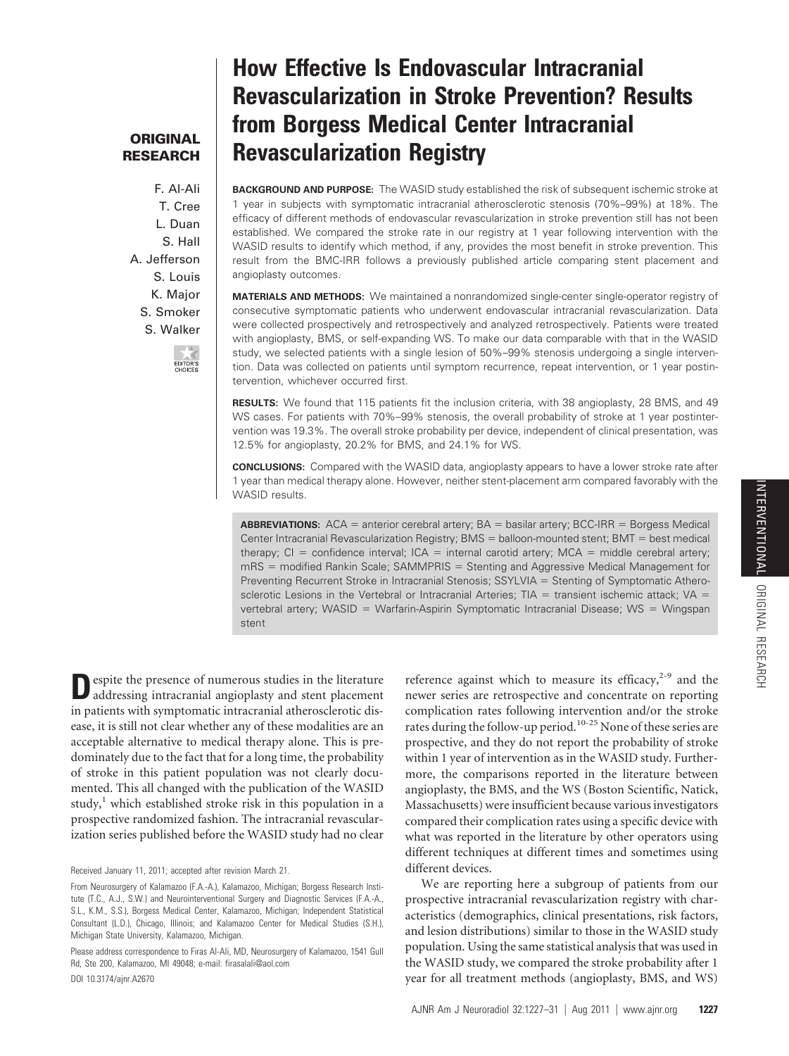# **ORIGINAL RESEARCH**

F. Al-Ali T. Cree L. Duan S. Hall A. Jefferson S. Louis K. Major S. Smoker S. Walker



# **How Effective Is Endovascular Intracranial Revascularization in Stroke Prevention? Results from Borgess Medical Center Intracranial Revascularization Registry**

**BACKGROUND AND PURPOSE:** The WASID study established the risk of subsequent ischemic stroke at 1 year in subjects with symptomatic intracranial atherosclerotic stenosis (70%–99%) at 18%. The efficacy of different methods of endovascular revascularization in stroke prevention still has not been established. We compared the stroke rate in our registry at 1 year following intervention with the WASID results to identify which method, if any, provides the most benefit in stroke prevention. This result from the BMC-IRR follows a previously published article comparing stent placement and angioplasty outcomes.

**MATERIALS AND METHODS:** We maintained a nonrandomized single-center single-operator registry of consecutive symptomatic patients who underwent endovascular intracranial revascularization. Data were collected prospectively and retrospectively and analyzed retrospectively. Patients were treated with angioplasty, BMS, or self-expanding WS. To make our data comparable with that in the WASID study, we selected patients with a single lesion of 50%–99% stenosis undergoing a single intervention. Data was collected on patients until symptom recurrence, repeat intervention, or 1 year postintervention, whichever occurred first.

**RESULTS:** We found that 115 patients fit the inclusion criteria, with 38 angioplasty, 28 BMS, and 49 WS cases. For patients with 70%–99% stenosis, the overall probability of stroke at 1 year postintervention was 19.3%. The overall stroke probability per device, independent of clinical presentation, was 12.5% for angioplasty, 20.2% for BMS, and 24.1% for WS.

**CONCLUSIONS:** Compared with the WASID data, angioplasty appears to have a lower stroke rate after 1 year than medical therapy alone. However, neither stent-placement arm compared favorably with the WASID results.

**ABBREVIATIONS:**  $ACA =$  anterior cerebral artery;  $BA =$  basilar artery;  $BCC-IRR =$  Borgess Medical Center Intracranial Revascularization Registry; BMS = balloon-mounted stent; BMT = best medical therapy;  $Cl =$  confidence interval;  $ICA =$  internal carotid artery;  $MCA =$  middle cerebral artery;  $mRS =$  modified Rankin Scale; SAMMPRIS  $=$  Stenting and Aggressive Medical Management for Preventing Recurrent Stroke in Intracranial Stenosis; SSYLVIA = Stenting of Symptomatic Atherosclerotic Lesions in the Vertebral or Intracranial Arteries;  $TIA =$  transient ischemic attack; VA = vertebral artery; WASID = Warfarin-Aspirin Symptomatic Intracranial Disease; WS = Wingspan stent

**D**espite the presence of numerous studies in the literature addressing intracranial angioplasty and stent placement in patients with symptomatic intracranial atherosclerotic disease, it is still not clear whether any of these modalities are an acceptable alternative to medical therapy alone. This is predominately due to the fact that for a long time, the probability of stroke in this patient population was not clearly documented. This all changed with the publication of the WASID study, $<sup>1</sup>$  which established stroke risk in this population in a</sup> prospective randomized fashion. The intracranial revascularization series published before the WASID study had no clear

Received January 11, 2011; accepted after revision March 21.

From Neurosurgery of Kalamazoo (F.A.-A.), Kalamazoo, Michigan; Borgess Research Institute (T.C., A.J., S.W.) and Neurointerventional Surgery and Diagnostic Services (F.A.-A., S.L., K.M., S.S.), Borgess Medical Center, Kalamazoo, Michigan; Independent Statistical Consultant (L.D.), Chicago, Illinois; and Kalamazoo Center for Medical Studies (S.H.), Michigan State University, Kalamazoo, Michigan.

Please address correspondence to Firas Al-Ali, MD, Neurosurgery of Kalamazoo, 1541 Gull Rd, Ste 200, Kalamazoo, MI 49048; e-mail: firasalali@aol.com

DOI 10.3174/ajnr.A2670

reference against which to measure its efficacy, $2-9$  and the newer series are retrospective and concentrate on reporting complication rates following intervention and/or the stroke rates during the follow-up period.10-25 None of these series are prospective, and they do not report the probability of stroke within 1 year of intervention as in the WASID study. Furthermore, the comparisons reported in the literature between angioplasty, the BMS, and the WS (Boston Scientific, Natick, Massachusetts) were insufficient because various investigators compared their complication rates using a specific device with what was reported in the literature by other operators using different techniques at different times and sometimes using different devices.

We are reporting here a subgroup of patients from our prospective intracranial revascularization registry with characteristics (demographics, clinical presentations, risk factors, and lesion distributions) similar to those in the WASID study population. Using the same statistical analysis that was used in the WASID study, we compared the stroke probability after 1 year for all treatment methods (angioplasty, BMS, and WS)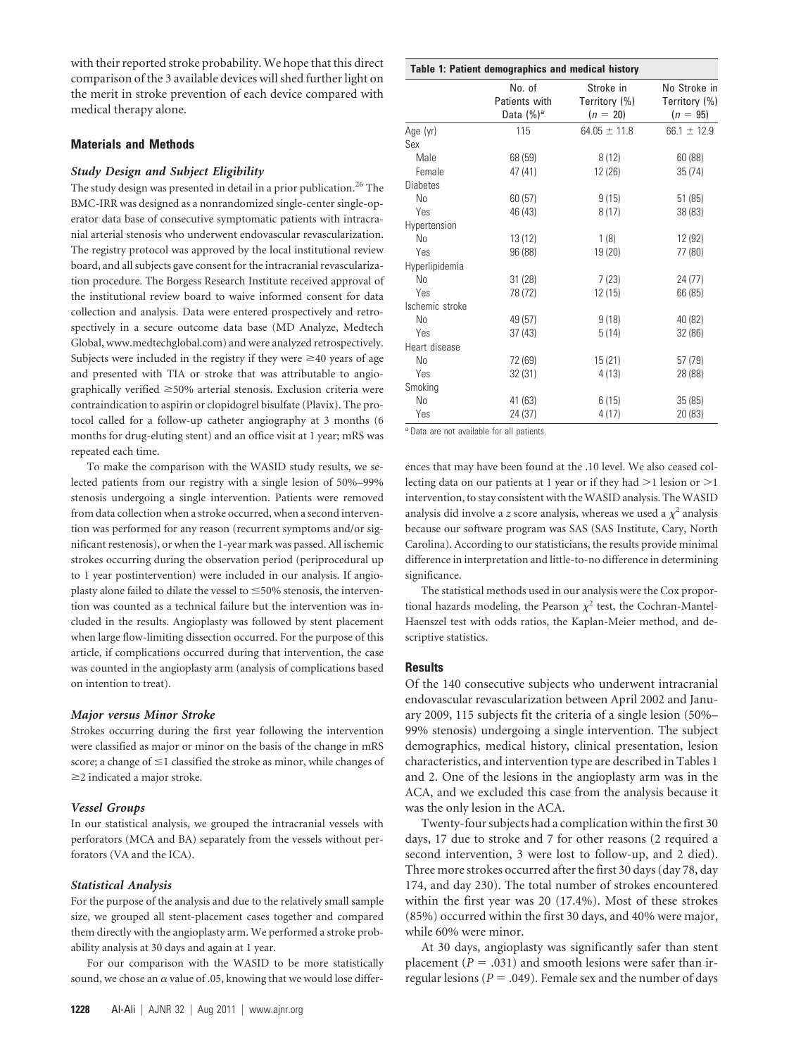with their reported stroke probability. We hope that this direct comparison of the 3 available devices will shed further light on the merit in stroke prevention of each device compared with medical therapy alone.

### **Materials and Methods**

#### *Study Design and Subject Eligibility*

The study design was presented in detail in a prior publication.<sup>26</sup> The BMC-IRR was designed as a nonrandomized single-center single-operator data base of consecutive symptomatic patients with intracranial arterial stenosis who underwent endovascular revascularization. The registry protocol was approved by the local institutional review board, and all subjects gave consent for the intracranial revascularization procedure. The Borgess Research Institute received approval of the institutional review board to waive informed consent for data collection and analysis. Data were entered prospectively and retrospectively in a secure outcome data base (MD Analyze, Medtech Global, www.medtechglobal.com) and were analyzed retrospectively. Subjects were included in the registry if they were  $\geq$ 40 years of age and presented with TIA or stroke that was attributable to angiographically verified  $\geq$ 50% arterial stenosis. Exclusion criteria were contraindication to aspirin or clopidogrel bisulfate (Plavix). The protocol called for a follow-up catheter angiography at 3 months (6 months for drug-eluting stent) and an office visit at 1 year; mRS was repeated each time.

To make the comparison with the WASID study results, we selected patients from our registry with a single lesion of 50%–99% stenosis undergoing a single intervention. Patients were removed from data collection when a stroke occurred, when a second intervention was performed for any reason (recurrent symptoms and/or significant restenosis), or when the 1-year mark was passed. All ischemic strokes occurring during the observation period (periprocedural up to 1 year postintervention) were included in our analysis. If angioplasty alone failed to dilate the vessel to  $\leq$ 50% stenosis, the intervention was counted as a technical failure but the intervention was included in the results. Angioplasty was followed by stent placement when large flow-limiting dissection occurred. For the purpose of this article, if complications occurred during that intervention, the case was counted in the angioplasty arm (analysis of complications based on intention to treat).

#### *Major versus Minor Stroke*

Strokes occurring during the first year following the intervention were classified as major or minor on the basis of the change in mRS score; a change of  $\leq$ 1 classified the stroke as minor, while changes of  $\geq$ 2 indicated a major stroke.

# *Vessel Groups*

In our statistical analysis, we grouped the intracranial vessels with perforators (MCA and BA) separately from the vessels without perforators (VA and the ICA).

# *Statistical Analysis*

For the purpose of the analysis and due to the relatively small sample size, we grouped all stent-placement cases together and compared them directly with the angioplasty arm. We performed a stroke probability analysis at 30 days and again at 1 year.

For our comparison with the WASID to be more statistically sound, we chose an  $\alpha$  value of .05, knowing that we would lose differ-

| Table 1: Patient demographics and medical history |                                          |                                          |                                             |
|---------------------------------------------------|------------------------------------------|------------------------------------------|---------------------------------------------|
|                                                   | No. of<br>Patients with<br>Data $(\%)^a$ | Stroke in<br>Territory (%)<br>$(n = 20)$ | No Stroke in<br>Territory (%)<br>$(n = 95)$ |
| Age (yr)                                          | 115                                      | $64.05 \pm 11.8$                         | $66.1 \pm 12.9$                             |
| Sex                                               |                                          |                                          |                                             |
| Male                                              | 68 (59)                                  | 8(12)                                    | 60(88)                                      |
| Female                                            | 47 (41)                                  | 12 (26)                                  | 35(74)                                      |
| <b>Diabetes</b>                                   |                                          |                                          |                                             |
| No                                                | 60(57)                                   | 9(15)                                    | 51(85)                                      |
| Yes                                               | 46 (43)                                  | 8(17)                                    | 38 (83)                                     |
| Hypertension                                      |                                          |                                          |                                             |
| N <sub>0</sub>                                    | 13(12)                                   | 1(8)                                     | 12 (92)                                     |
| Yes                                               | 96 (88)                                  | 19 (20)                                  | 77 (80)                                     |
| Hyperlipidemia                                    |                                          |                                          |                                             |
| No                                                | 31(28)                                   | 7(23)                                    | 24(77)                                      |
| Yes                                               | 78 (72)                                  | 12 (15)                                  | 66 (85)                                     |
| Ischemic stroke                                   |                                          |                                          |                                             |
| No                                                | 49 (57)                                  | 9(18)                                    | 40 (82)                                     |
| Yes                                               | 37(43)                                   | 5(14)                                    | 32 (86)                                     |
| Heart disease                                     |                                          |                                          |                                             |
| No                                                | 72 (69)                                  | 15(21)                                   | 57 (79)                                     |
| Yes                                               | 32 (31)                                  | 4(13)                                    | 28 (88)                                     |
| Smoking                                           |                                          |                                          |                                             |
| N <sub>0</sub>                                    | 41 (63)                                  | 6(15)                                    | 35(85)                                      |
| Yes                                               | 24 (37)                                  | 4(17)                                    | 20 (83)                                     |

<sup>a</sup> Data are not available for all patients.

ences that may have been found at the .10 level. We also ceased collecting data on our patients at 1 year or if they had  $>$ 1 lesion or  $>$ 1 intervention, to stay consistent with the WASID analysis. The WASID analysis did involve a *z* score analysis, whereas we used a  $\chi^2$  analysis because our software program was SAS (SAS Institute, Cary, North Carolina). According to our statisticians, the results provide minimal difference in interpretation and little-to-no difference in determining significance.

The statistical methods used in our analysis were the Cox proportional hazards modeling, the Pearson  $\chi^2$  test, the Cochran-Mantel-Haenszel test with odds ratios, the Kaplan-Meier method, and descriptive statistics.

#### **Results**

Of the 140 consecutive subjects who underwent intracranial endovascular revascularization between April 2002 and January 2009, 115 subjects fit the criteria of a single lesion (50%– 99% stenosis) undergoing a single intervention. The subject demographics, medical history, clinical presentation, lesion characteristics, and intervention type are described in Tables 1 and 2. One of the lesions in the angioplasty arm was in the ACA, and we excluded this case from the analysis because it was the only lesion in the ACA.

Twenty-four subjects had a complication within the first 30 days, 17 due to stroke and 7 for other reasons (2 required a second intervention, 3 were lost to follow-up, and 2 died). Three more strokes occurred after the first 30 days (day 78, day 174, and day 230). The total number of strokes encountered within the first year was 20 (17.4%). Most of these strokes (85%) occurred within the first 30 days, and 40% were major, while 60% were minor.

At 30 days, angioplasty was significantly safer than stent placement ( $P = .031$ ) and smooth lesions were safer than irregular lesions ( $P = .049$ ). Female sex and the number of days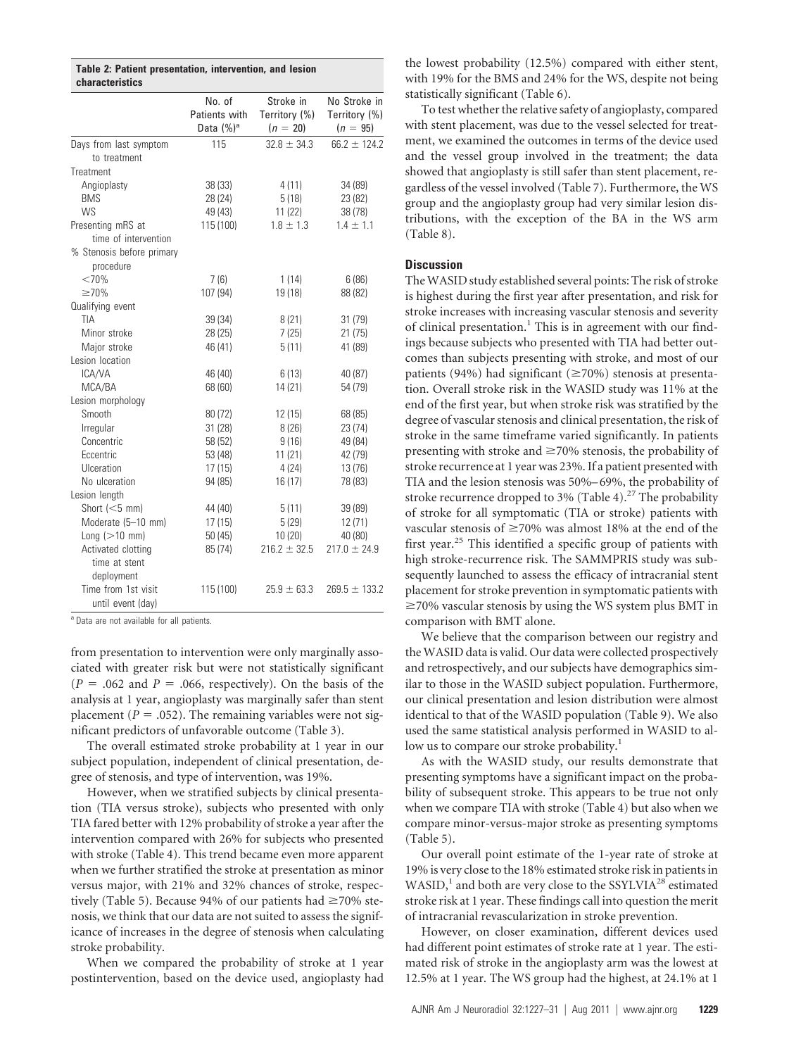|                        | Table 2: Patient presentation, intervention, and lesion |  |  |
|------------------------|---------------------------------------------------------|--|--|
| <b>characteristics</b> |                                                         |  |  |

|                                          | No. of<br>Patients with<br>Data (%) <sup>a</sup> | Stroke in<br>Territory (%)<br>$(n = 20)$ | No Stroke in<br>Territory (%)<br>$(n = 95)$ |
|------------------------------------------|--------------------------------------------------|------------------------------------------|---------------------------------------------|
| Days from last symptom                   | 115                                              | $32.8 \pm 34.3$                          | $66.2 \pm 124.2$                            |
| to treatment                             |                                                  |                                          |                                             |
| Treatment                                |                                                  |                                          |                                             |
| Angioplasty                              | 38(33)                                           | 4(11)                                    | 34 (89)                                     |
| <b>BMS</b>                               | 28 (24)                                          | 5(18)                                    | 23 (82)                                     |
| <b>WS</b>                                | 49 (43)                                          | 11(22)                                   | 38 (78)                                     |
| Presenting mRS at                        | 115 (100)                                        | $1.8 \pm 1.3$                            | $1.4 \pm 1.1$                               |
| time of intervention                     |                                                  |                                          |                                             |
| % Stenosis before primary<br>procedure   |                                                  |                                          |                                             |
| <70%                                     | 7(6)                                             | 1(14)                                    | 6(86)                                       |
| $\geq 70\%$                              | 107 (94)                                         | 19 (18)                                  | 88 (82)                                     |
| Qualifying event                         |                                                  |                                          |                                             |
| TIA                                      | 39 (34)                                          | 8(21)                                    | 31(79)                                      |
| Minor stroke                             | 28 (25)                                          | 7(25)                                    | 21(75)                                      |
| Major stroke                             | 46 (41)                                          | 5(11)                                    | 41 (89)                                     |
| Lesion location                          |                                                  |                                          |                                             |
| ICA/VA                                   | 46 (40)                                          | 6(13)                                    | 40 (87)                                     |
| MCA/BA                                   | 68 (60)                                          | 14(21)                                   | 54 (79)                                     |
| Lesion morphology                        |                                                  |                                          |                                             |
| Smooth                                   | 80 (72)                                          | 12(15)                                   | 68 (85)                                     |
| Irregular                                | 31(28)                                           | 8(26)                                    | 23(74)                                      |
| Concentric                               | 58 (52)                                          | 9(16)                                    | 49 (84)                                     |
| Eccentric                                | 53 (48)                                          | 11(21)                                   | 42 (79)                                     |
| Ulceration                               | 17(15)                                           | 4(24)                                    | 13(76)                                      |
| No ulceration                            | 94 (85)                                          | 16(17)                                   | 78 (83)                                     |
| Lesion length                            |                                                  |                                          |                                             |
| Short $(<5$ mm)                          | 44 (40)                                          | 5(11)                                    | 39 (89)                                     |
| Moderate (5-10 mm)                       | 17(15)                                           | 5(29)                                    | 12 (71)                                     |
| Long $(>10$ mm)                          | 50(45)                                           | 10(20)                                   | 40 (80)                                     |
| Activated clotting                       | 85 (74)                                          | $216.2 \pm 32.5$                         | $217.0 \pm 24.9$                            |
| time at stent<br>deployment              |                                                  |                                          |                                             |
| Time from 1st visit<br>until event (day) | 115 (100)                                        | $25.9 \pm 63.3$                          | $269.5 \pm 133.2$                           |

<sup>a</sup> Data are not available for all patients.

from presentation to intervention were only marginally associated with greater risk but were not statistically significant  $(P = .062$  and  $P = .066$ , respectively). On the basis of the analysis at 1 year, angioplasty was marginally safer than stent placement ( $P = .052$ ). The remaining variables were not significant predictors of unfavorable outcome (Table 3).

The overall estimated stroke probability at 1 year in our subject population, independent of clinical presentation, degree of stenosis, and type of intervention, was 19%.

However, when we stratified subjects by clinical presentation (TIA versus stroke), subjects who presented with only TIA fared better with 12% probability of stroke a year after the intervention compared with 26% for subjects who presented with stroke (Table 4). This trend became even more apparent when we further stratified the stroke at presentation as minor versus major, with 21% and 32% chances of stroke, respectively (Table 5). Because 94% of our patients had  $\geq$ 70% stenosis, we think that our data are not suited to assess the significance of increases in the degree of stenosis when calculating stroke probability.

When we compared the probability of stroke at 1 year postintervention, based on the device used, angioplasty had the lowest probability (12.5%) compared with either stent, with 19% for the BMS and 24% for the WS, despite not being statistically significant (Table 6).

To test whether the relative safety of angioplasty, compared with stent placement, was due to the vessel selected for treatment, we examined the outcomes in terms of the device used and the vessel group involved in the treatment; the data showed that angioplasty is still safer than stent placement, regardless of the vessel involved (Table 7). Furthermore, the WS group and the angioplasty group had very similar lesion distributions, with the exception of the BA in the WS arm (Table 8).

## **Discussion**

TheWASID study established several points: The risk of stroke is highest during the first year after presentation, and risk for stroke increases with increasing vascular stenosis and severity of clinical presentation.<sup>1</sup> This is in agreement with our findings because subjects who presented with TIA had better outcomes than subjects presenting with stroke, and most of our patients (94%) had significant ( $\geq$ 70%) stenosis at presentation. Overall stroke risk in the WASID study was 11% at the end of the first year, but when stroke risk was stratified by the degree of vascular stenosis and clinical presentation, the risk of stroke in the same timeframe varied significantly. In patients presenting with stroke and  $\geq$ 70% stenosis, the probability of stroke recurrence at 1 year was 23%. If a patient presented with TIA and the lesion stenosis was 50%–69%, the probability of stroke recurrence dropped to 3% (Table 4).<sup>27</sup> The probability of stroke for all symptomatic (TIA or stroke) patients with vascular stenosis of  $\geq$ 70% was almost 18% at the end of the first year.<sup>25</sup> This identified a specific group of patients with high stroke-recurrence risk. The SAMMPRIS study was subsequently launched to assess the efficacy of intracranial stent placement for stroke prevention in symptomatic patients with  $\geq$ 70% vascular stenosis by using the WS system plus BMT in comparison with BMT alone.

We believe that the comparison between our registry and the WASID data is valid. Our data were collected prospectively and retrospectively, and our subjects have demographics similar to those in the WASID subject population. Furthermore, our clinical presentation and lesion distribution were almost identical to that of the WASID population (Table 9). We also used the same statistical analysis performed in WASID to allow us to compare our stroke probability.<sup>1</sup>

As with the WASID study, our results demonstrate that presenting symptoms have a significant impact on the probability of subsequent stroke. This appears to be true not only when we compare TIA with stroke (Table 4) but also when we compare minor-versus-major stroke as presenting symptoms (Table 5).

Our overall point estimate of the 1-year rate of stroke at 19% is very close to the 18% estimated stroke risk in patients in WASID,<sup>1</sup> and both are very close to the SSYLVIA<sup>28</sup> estimated stroke risk at 1 year. These findings call into question the merit of intracranial revascularization in stroke prevention.

However, on closer examination, different devices used had different point estimates of stroke rate at 1 year. The estimated risk of stroke in the angioplasty arm was the lowest at 12.5% at 1 year. The WS group had the highest, at 24.1% at 1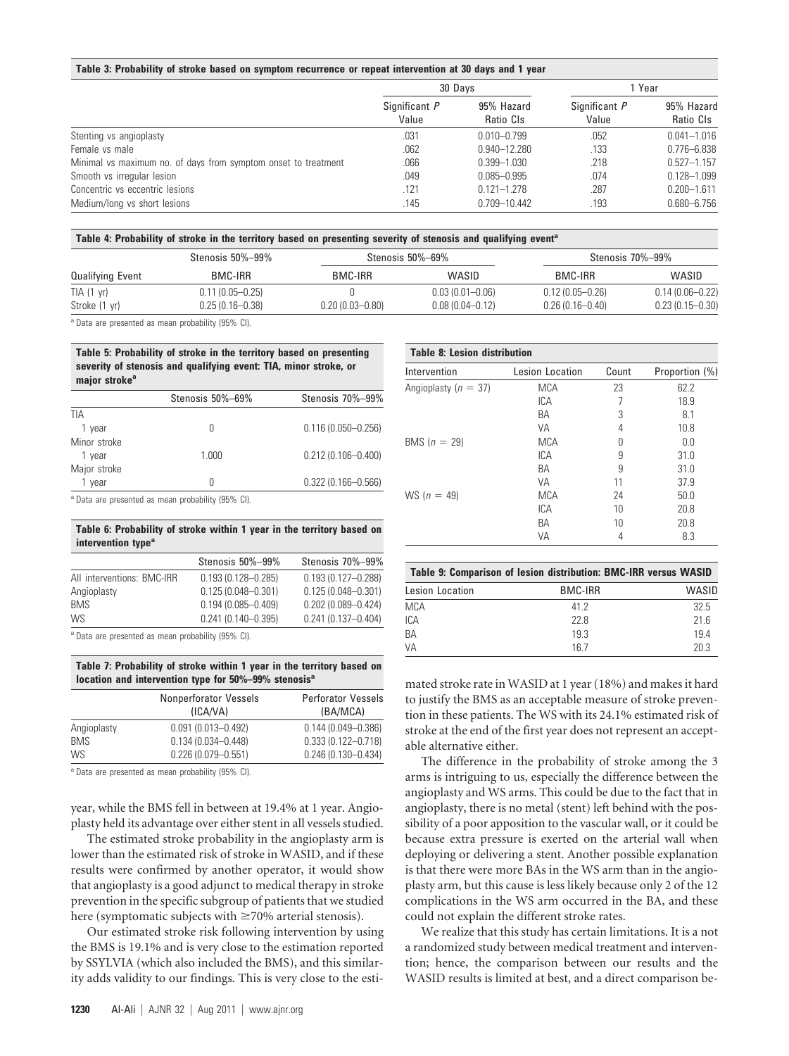#### **Table 3: Probability of stroke based on symptom recurrence or repeat intervention at 30 days and 1 year**

|                                                                | 30 Davs                |                         | 1 Year                 |                         |
|----------------------------------------------------------------|------------------------|-------------------------|------------------------|-------------------------|
|                                                                | Significant P<br>Value | 95% Hazard<br>Ratio CIs | Significant P<br>Value | 95% Hazard<br>Ratio CIs |
| Stenting vs angioplasty                                        | .031                   | $0.010 - 0.799$         | .052                   | $0.041 - 1.016$         |
| Female vs male                                                 | .062                   | 0.940-12.280            | .133                   | $0.776 - 6.838$         |
| Minimal vs maximum no. of days from symptom onset to treatment | .066                   | $0.399 - 1.030$         | .218                   | $0.527 - 1.157$         |
| Smooth vs irregular lesion                                     | .049                   | $0.085 - 0.995$         | .074                   | $0.128 - 1.099$         |
| Concentric vs eccentric lesions                                | .121                   | $0.121 - 1.278$         | .287                   | $0.200 - 1.611$         |
| Medium/long vs short lesions                                   | .145                   | 0.709-10.442            | .193                   | $0.680 - 6.756$         |

#### **Table 4: Probability of stroke in the territory based on presenting severity of stenosis and qualifying event<sup>a</sup>**

|                         | Stenosis 50%-99%    | Stenosis 50%-69%    |                     |                     | Stenosis 70%–99%    |  |
|-------------------------|---------------------|---------------------|---------------------|---------------------|---------------------|--|
| <b>Qualifying Event</b> | BMC-IRR             | BMC-IRR             | WASID               | BMC-IRR             | WASID               |  |
| TIA (1 yr)              | $0.11(0.05 - 0.25)$ |                     | $0.03(0.01 - 0.06)$ | $0.12(0.05 - 0.26)$ | $0.14(0.06 - 0.22)$ |  |
| Stroke (1 yr)           | $0.25(0.16 - 0.38)$ | $0.20(0.03 - 0.80)$ | $0.08(0.04 - 0.12)$ | $0.26(0.16 - 0.40)$ | $0.23(0.15 - 0.30)$ |  |

<sup>a</sup> Data are presented as mean probability (95% CI).

**Table 5: Probability of stroke in the territory based on presenting severity of stenosis and qualifying event: TIA, minor stroke, or** major stroke<sup>a</sup>

|              | Stenosis 50%-69% | Stenosis 70%-99%       |
|--------------|------------------|------------------------|
| TIA          |                  |                        |
| 1 vear       |                  | $0.116(0.050 - 0.256)$ |
| Minor stroke |                  |                        |
| 1 year       | 1.000            | $0.212(0.106 - 0.400)$ |
| Major stroke |                  |                        |
| vear         |                  | $0.322(0.166 - 0.566)$ |
|              |                  |                        |

<sup>a</sup> Data are presented as mean probability (95% CI).

#### **Table 6: Probability of stroke within 1 year in the territory based on** intervention type<sup>a</sup>

|                            | Stenosis 50%-99%       | Stenosis 70%-99%       |
|----------------------------|------------------------|------------------------|
| All interventions: BMC-IRR | $0.193(0.128 - 0.285)$ | $0.193(0.127 - 0.288)$ |
| Angioplasty                | $0.125(0.048 - 0.301)$ | $0.125(0.048 - 0.301)$ |
| <b>BMS</b>                 | $0.194(0.085 - 0.409)$ | $0.202(0.089 - 0.424)$ |
| <b>WS</b>                  | $0.241(0.140 - 0.395)$ | $0.241(0.137 - 0.404)$ |
|                            |                        |                        |

<sup>a</sup> Data are presented as mean probability (95% CI).

**Table 7: Probability of stroke within 1 year in the territory based on location and intervention type for 50%–99% stenosisa**

|             | Nonperforator Vessels<br>(ICAVA) | <b>Perforator Vessels</b><br>(BA/MCA) |
|-------------|----------------------------------|---------------------------------------|
| Angioplasty | $0.091(0.013 - 0.492)$           | $0.144(0.049 - 0.386)$                |
| <b>BMS</b>  | $0.134(0.034 - 0.448)$           | $0.333(0.122 - 0.718)$                |
| <b>WS</b>   | $0.226(0.079 - 0.551)$           | $0.246(0.130 - 0.434)$                |

<sup>a</sup> Data are presented as mean probability (95% CI).

year, while the BMS fell in between at 19.4% at 1 year. Angioplasty held its advantage over either stent in all vessels studied.

The estimated stroke probability in the angioplasty arm is lower than the estimated risk of stroke in WASID, and if these results were confirmed by another operator, it would show that angioplasty is a good adjunct to medical therapy in stroke prevention in the specific subgroup of patients that we studied here (symptomatic subjects with  $\geq$ 70% arterial stenosis).

Our estimated stroke risk following intervention by using the BMS is 19.1% and is very close to the estimation reported by SSYLVIA (which also included the BMS), and this similarity adds validity to our findings. This is very close to the esti-

| Intervention             | Lesion Location | Count | Proportion (%) |
|--------------------------|-----------------|-------|----------------|
| Angioplasty ( $n = 37$ ) | <b>MCA</b>      | 23    | 62.2           |
|                          | <b>ICA</b>      |       | 18.9           |
|                          | ВA              | 3     | 8.1            |
|                          | VA              | 4     | 10.8           |
| BMS $(n = 29)$           | <b>MCA</b>      | Ŋ     | 0.0            |
|                          | ICA             | 9     | 31.0           |
|                          | BA              | 9     | 31.0           |
|                          | VA              | 11    | 37.9           |
| $WS (n = 49)$            | <b>MCA</b>      | 24    | 50.0           |
|                          | ICA             | 10    | 20.8           |
|                          | ВA              | 10    | 20.8           |
|                          | VA              | 4     | 8.3            |

|                 | Table 9: Comparison of lesion distribution: BMC-IRR versus WASID |       |
|-----------------|------------------------------------------------------------------|-------|
| Lesion Location | BMC-IRR                                                          | WASID |
| <b>MCA</b>      | 41 2                                                             | 325   |
| ICA             | 22 B                                                             | 216   |
| BA              | 19.3                                                             | 194   |
| VA              | 167                                                              | 20.3  |

mated stroke rate in WASID at 1 year (18%) and makes it hard to justify the BMS as an acceptable measure of stroke prevention in these patients. The WS with its 24.1% estimated risk of stroke at the end of the first year does not represent an acceptable alternative either.

The difference in the probability of stroke among the 3 arms is intriguing to us, especially the difference between the angioplasty and WS arms. This could be due to the fact that in angioplasty, there is no metal (stent) left behind with the possibility of a poor apposition to the vascular wall, or it could be because extra pressure is exerted on the arterial wall when deploying or delivering a stent. Another possible explanation is that there were more BAs in the WS arm than in the angioplasty arm, but this cause is less likely because only 2 of the 12 complications in the WS arm occurred in the BA, and these could not explain the different stroke rates.

We realize that this study has certain limitations. It is a not a randomized study between medical treatment and intervention; hence, the comparison between our results and the WASID results is limited at best, and a direct comparison be